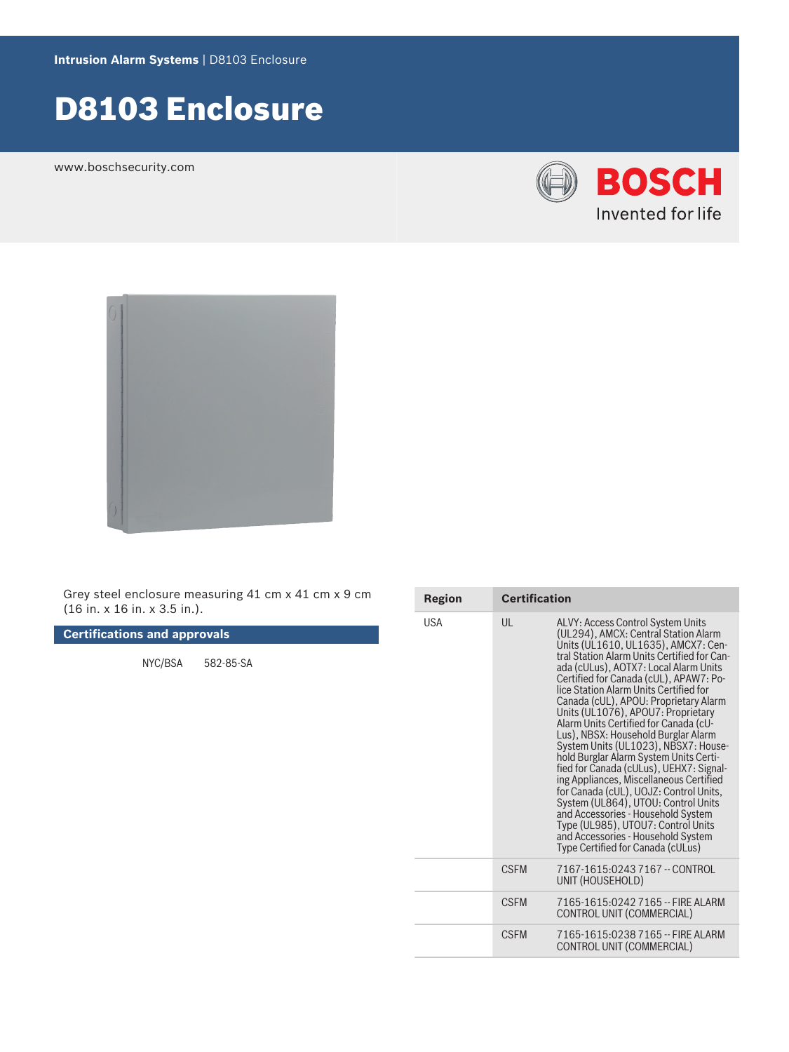# D8103 Enclosure

www.boschsecurity.com





Grey steel enclosure measuring 41 cm x 41 cm x 9 cm (16 in. x 16 in. x 3.5 in.).

**Certifications and approvals**

NYC/BSA 582‑85‑SA

| Region     | <b>Certification</b> |                                                                                                                                                                                                                                                                                                                                                                                                                                                                                                                                                                                                                                                                                                                                                                                                                                                                             |
|------------|----------------------|-----------------------------------------------------------------------------------------------------------------------------------------------------------------------------------------------------------------------------------------------------------------------------------------------------------------------------------------------------------------------------------------------------------------------------------------------------------------------------------------------------------------------------------------------------------------------------------------------------------------------------------------------------------------------------------------------------------------------------------------------------------------------------------------------------------------------------------------------------------------------------|
| <b>USA</b> | UL                   | ALVY: Access Control System Units<br>(UL294), AMCX: Central Station Alarm<br>Units (UL1610, UL1635), AMCX7: Cen-<br>tral Station Alarm Units Certified for Can-<br>ada (cULus), AOTX7: Local Alarm Units<br>Certified for Canada (cUL), APAW7: Po-<br>lice Station Alarm Units Certified for<br>Canada (cUL), APOU: Proprietary Alarm<br>Units (UL1076), APOU7: Proprietary<br>Alarm Units Certified for Canada (cU-<br>Lus), NBSX: Household Burglar Alarm<br>System Units (UL1023), NBSX7: House-<br>hold Burglar Alarm System Units Certi-<br>fied for Canada (cULus), UEHX7: Signal-<br>ing Appliances, Miscellaneous Certified<br>for Canada (cUL), UOJZ: Control Units,<br>System (UL864), UTOU: Control Units<br>and Accessories - Household System<br>Type (UL985), UTOU7: Control Units<br>and Accessories - Household System<br>Type Certified for Canada (cULus) |
|            | <b>CSEM</b>          | 7167-1615:0243 7167 -- CONTROL<br>UNIT (HOUSEHOLD)                                                                                                                                                                                                                                                                                                                                                                                                                                                                                                                                                                                                                                                                                                                                                                                                                          |
|            | <b>CSEM</b>          | 7165-1615:0242 7165 -- FIRE ALARM<br>CONTROL UNIT (COMMERCIAL)                                                                                                                                                                                                                                                                                                                                                                                                                                                                                                                                                                                                                                                                                                                                                                                                              |
|            | <b>CSEM</b>          | 7165-1615:0238 7165 -- FIRE ALARM<br>CONTROL UNIT (COMMERCIAL)                                                                                                                                                                                                                                                                                                                                                                                                                                                                                                                                                                                                                                                                                                                                                                                                              |